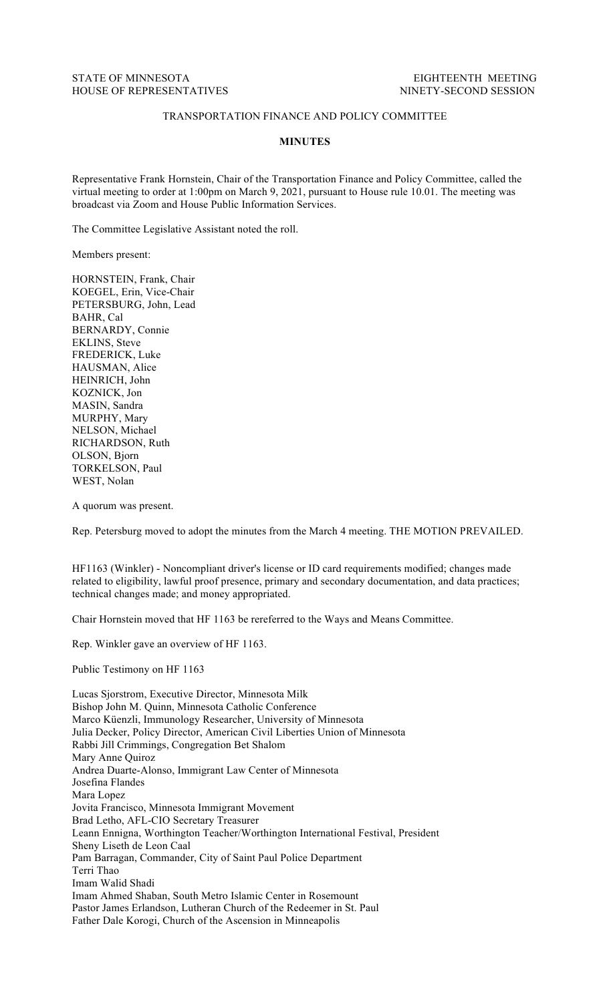## TRANSPORTATION FINANCE AND POLICY COMMITTEE

## **MINUTES**

Representative Frank Hornstein, Chair of the Transportation Finance and Policy Committee, called the virtual meeting to order at 1:00pm on March 9, 2021, pursuant to House rule 10.01. The meeting was broadcast via Zoom and House Public Information Services.

The Committee Legislative Assistant noted the roll.

Members present:

HORNSTEIN, Frank, Chair KOEGEL, Erin, Vice-Chair PETERSBURG, John, Lead BAHR, Cal BERNARDY, Connie EKLINS, Steve FREDERICK, Luke HAUSMAN, Alice HEINRICH, John KOZNICK, Jon MASIN, Sandra MURPHY, Mary NELSON, Michael RICHARDSON, Ruth OLSON, Bjorn TORKELSON, Paul WEST, Nolan

A quorum was present.

Rep. Petersburg moved to adopt the minutes from the March 4 meeting. THE MOTION PREVAILED.

HF1163 (Winkler) - Noncompliant driver's license or ID card requirements modified; changes made related to eligibility, lawful proof presence, primary and secondary documentation, and data practices; technical changes made; and money appropriated.

Chair Hornstein moved that HF 1163 be rereferred to the Ways and Means Committee.

Rep. Winkler gave an overview of HF 1163.

Public Testimony on HF 1163

Lucas Sjorstrom, Executive Director, Minnesota Milk Bishop John M. Quinn, Minnesota Catholic Conference Marco Küenzli, Immunology Researcher, University of Minnesota Julia Decker, Policy Director, American Civil Liberties Union of Minnesota Rabbi Jill Crimmings, Congregation Bet Shalom Mary Anne Quiroz Andrea Duarte-Alonso, Immigrant Law Center of Minnesota Josefina Flandes Mara Lopez Jovita Francisco, Minnesota Immigrant Movement Brad Letho, AFL-CIO Secretary Treasurer Leann Ennigna, Worthington Teacher/Worthington International Festival, President Sheny Liseth de Leon Caal Pam Barragan, Commander, City of Saint Paul Police Department Terri Thao Imam Walid Shadi Imam Ahmed Shaban, South Metro Islamic Center in Rosemount Pastor James Erlandson, Lutheran Church of the Redeemer in St. Paul Father Dale Korogi, Church of the Ascension in Minneapolis